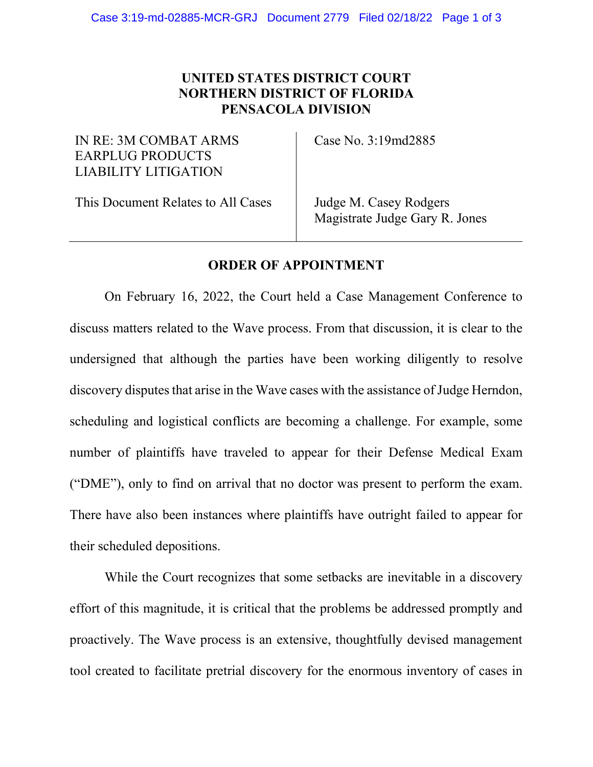## UNITED STATES DISTRICT COURT NORTHERN DISTRICT OF FLORIDA PENSACOLA DIVISION

IN RE: 3M COMBAT ARMS EARPLUG PRODUCTS LIABILITY LITIGATION

Case No. 3:19md2885

This Document Relates to All Cases

Judge M. Casey Rodgers Magistrate Judge Gary R. Jones

## ORDER OF APPOINTMENT

On February 16, 2022, the Court held a Case Management Conference to discuss matters related to the Wave process. From that discussion, it is clear to the undersigned that although the parties have been working diligently to resolve discovery disputes that arise in the Wave cases with the assistance of Judge Herndon, scheduling and logistical conflicts are becoming a challenge. For example, some number of plaintiffs have traveled to appear for their Defense Medical Exam ("DME"), only to find on arrival that no doctor was present to perform the exam. There have also been instances where plaintiffs have outright failed to appear for their scheduled depositions.

While the Court recognizes that some setbacks are inevitable in a discovery effort of this magnitude, it is critical that the problems be addressed promptly and proactively. The Wave process is an extensive, thoughtfully devised management tool created to facilitate pretrial discovery for the enormous inventory of cases in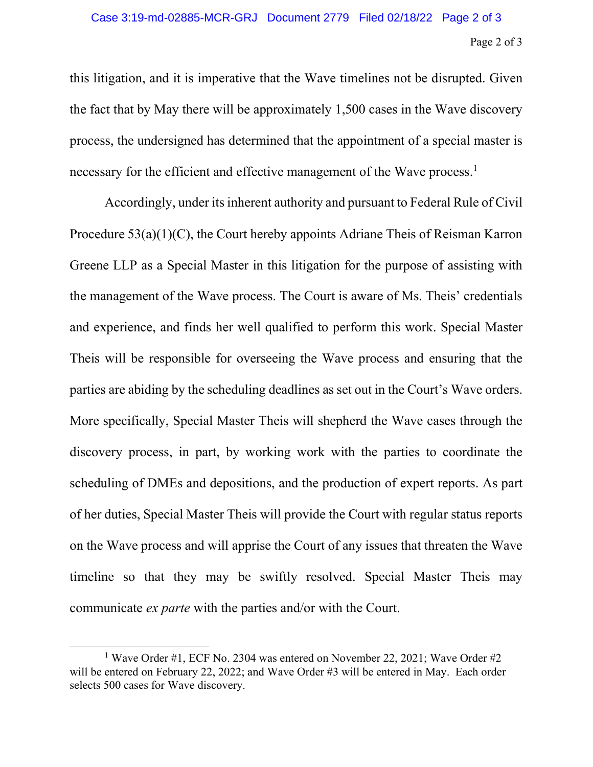## Page 2 of 3 Case 3:19-md-02885-MCR-GRJ Document 2779 Filed 02/18/22 Page 2 of 3

this litigation, and it is imperative that the Wave timelines not be disrupted. Given the fact that by May there will be approximately 1,500 cases in the Wave discovery process, the undersigned has determined that the appointment of a special master is necessary for the efficient and effective management of the Wave process.<sup>1</sup>

Accordingly, under its inherent authority and pursuant to Federal Rule of Civil Procedure 53(a)(1)(C), the Court hereby appoints Adriane Theis of Reisman Karron Greene LLP as a Special Master in this litigation for the purpose of assisting with the management of the Wave process. The Court is aware of Ms. Theis' credentials and experience, and finds her well qualified to perform this work. Special Master Theis will be responsible for overseeing the Wave process and ensuring that the parties are abiding by the scheduling deadlines as set out in the Court's Wave orders. More specifically, Special Master Theis will shepherd the Wave cases through the discovery process, in part, by working work with the parties to coordinate the scheduling of DMEs and depositions, and the production of expert reports. As part of her duties, Special Master Theis will provide the Court with regular status reports on the Wave process and will apprise the Court of any issues that threaten the Wave timeline so that they may be swiftly resolved. Special Master Theis may communicate ex parte with the parties and/or with the Court.

<sup>&</sup>lt;sup>1</sup> Wave Order #1, ECF No. 2304 was entered on November 22, 2021; Wave Order #2 will be entered on February 22, 2022; and Wave Order #3 will be entered in May. Each order selects 500 cases for Wave discovery.